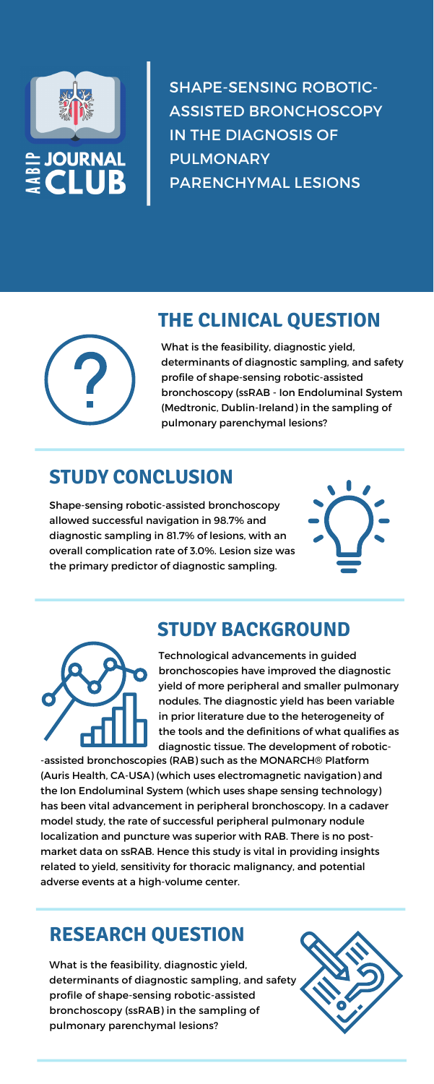

SHAPE-SENSING ROBOTIC-ASSISTED BRONCHOSCOPY IN THE DIAGNOSIS OF PULMONARY PARENCHYMAL LESIONS



### **THE CLINICAL QUESTION**

What is the feasibility, diagnostic yield, determinants of diagnostic sampling, and safety profile of shape-sensing robotic-assisted bronchoscopy (ssRAB - Ion Endoluminal System (Medtronic, Dublin-Ireland) in the sampling of pulmonary parenchymal lesions?

# **STUDY CONCLUSION**

Shape-sensing robotic-assisted bronchoscopy allowed successful navigation in 98.7% and diagnostic sampling in 81.7% of lesions, with an overall complication rate of 3.0%. Lesion size was the primary predictor of diagnostic sampling.



# **STUDY BACKGROUND**



Technological advancements in guided bronchoscopies have improved the diagnostic yield of more peripheral and smaller pulmonary nodules. The diagnostic yield has been variable in prior literature due to the heterogeneity of the tools and the definitions of what qualifies as diagnostic tissue. The development of robotic-

-assisted bronchoscopies (RAB) such as the MONARCH® Platform (Auris Health, CA-USA) (which uses electromagnetic navigation) and the Ion Endoluminal System (which uses shape sensing technology) has been vital advancement in peripheral bronchoscopy. In a cadaver model study, the rate of successful peripheral pulmonary nodule localization and puncture was superior with RAB. There is no postmarket data on ssRAB. Hence this study is vital in providing insights related to yield, sensitivity for thoracic malignancy, and potential adverse events at a high-volume center.

What is the feasibility, diagnostic yield, determinants of diagnostic sampling, and safety profile of shape-sensing robotic-assisted bronchoscopy (ssRAB) in the sampling of pulmonary parenchymal lesions?



### **RESEARCH QUESTION**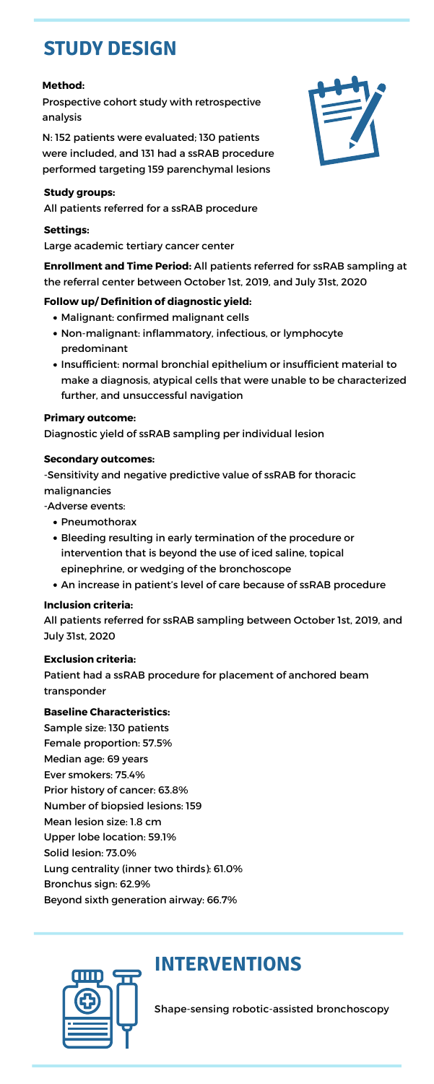Shape-sensing robotic-assisted bronchoscopy

- Pneumothorax
- Bleeding resulting in early termination of the procedure or intervention that is beyond the use of iced saline, topical epinephrine, or wedging of the bronchoscope
- An increase in patient's level of care because of ssRAB procedure
- Malignant: confirmed malignant cells
- Non-malignant: inflammatory, infectious, or lymphocyte predominant
- Insufficient: normal bronchial epithelium or insufficient material to make a diagnosis, atypical cells that were unable to be characterized further, and unsuccessful navigation

-Sensitivity and negative predictive value of ssRAB for thoracic malignancies

### **Study groups:**

All patients referred for a ssRAB procedure

### **Settings:**

Large academic tertiary cancer center

**Enrollment and Time Period:** All patients referred for ssRAB sampling at the referral center between October 1st, 2019, and July 31st, 2020

### **Follow up/ Definition of diagnostic yield:**

### **Primary outcome:**

Diagnostic yield of ssRAB sampling per individual lesion

### **Secondary outcomes:**

-Adverse events:

### **Inclusion criteria:**

All patients referred for ssRAB sampling between October 1st, 2019, and July 31st, 2020



### **Exclusion criteria:**

Patient had a ssRAB procedure for placement of anchored beam transponder

### **Baseline Characteristics:**

Sample size: 130 patients Female proportion: 57.5% Median age: 69 years Ever smokers: 75.4% Prior history of cancer: 63.8% Number of biopsied lesions: 159 Mean lesion size: 1.8 cm Upper lobe location: 59.1% Solid lesion: 73.0% Lung centrality (inner two thirds): 61.0% Bronchus sign: 62.9% Beyond sixth generation airway: 66.7%



## **INTERVENTIONS**

# **STUDY DESIGN**

### **Method:**

Prospective cohort study with retrospective analysis

N: 152 patients were evaluated; 130 patients were included, and 131 had a ssRAB procedure performed targeting 159 parenchymal lesions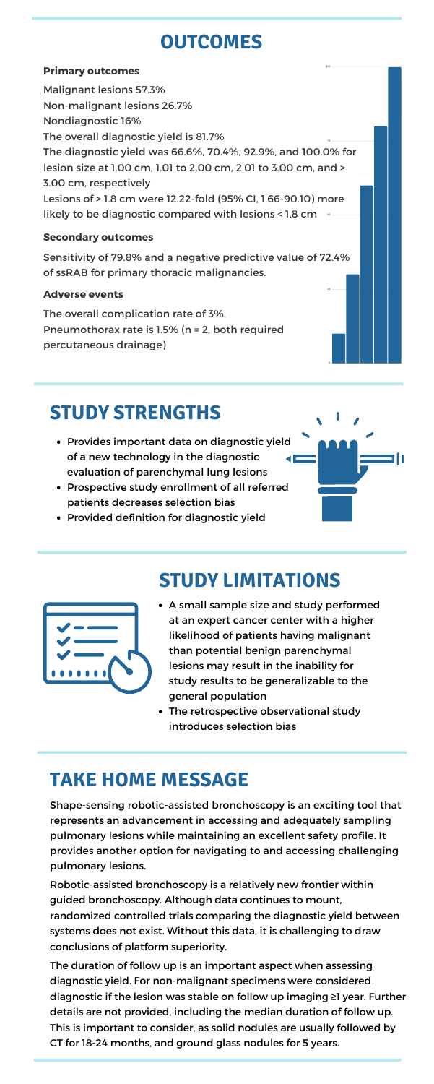# **OUTCOMES**

### **Primary outcomes**

Malignant lesions 57.3% Non-malignant lesions 26.7% Nondiagnostic 16% The overall diagnostic yield is 81.7% The diagnostic yield was 66.6%, 70.4%, 92.9%, and 100.0% for lesion size at 1.00 cm, 1.01 to 2.00 cm, 2.01 to 3.00 cm, and > 3.00 cm, respectively Lesions of > 1.8 cm were 12.22-fold (95% CI, 1.66-90.10) more likely to be diagnostic compared with lesions < 1.8 cm 75 50

### **Secondary outcomes**

Sensitivity of 79.8% and a negative predictive value of 72.4% of ssRAB for primary thoracic malignancies.

### **Adverse events**

The overall complication rate of 3%. Pneumothorax rate is 1.5% (n = 2, both required percutaneous drainage)

> • The retrospective observational study introduces selection bias

100

 $25 -$ 

0

### **STUDY STRENGTHS**

- Provides important data on diagnostic yield of a new technology in the diagnostic evaluation of parenchymal lung lesions
- Prospective study enrollment of all referred patients decreases selection bias
- Provided definition for diagnostic yield

# **STUDY LIMITATIONS**



A small sample size and study performed at an expert cancer center with a higher likelihood of patients having malignant

than potential benign parenchymal lesions may result in the inability for study results to be generalizable to the general population

# **TAKE HOME MESSAGE**

Shape-sensing robotic-assisted bronchoscopy is an exciting tool that represents an advancement in accessing and adequately sampling pulmonary lesions while maintaining an excellent safety profile. It provides another option for navigating to and accessing challenging pulmonary lesions.

Robotic-assisted bronchoscopy is a relatively new frontier within guided bronchoscopy. Although data continues to mount, randomized controlled trials comparing the diagnostic yield between systems does not exist. Without this data, it is challenging to draw conclusions of platform superiority.

The duration of follow up is an important aspect when assessing diagnostic yield. For non-malignant specimens were considered diagnostic if the lesion was stable on follow up imaging ≥1 year. Further details are not provided, including the median duration of follow up. This is important to consider, as solid nodules are usually followed by CT for 18-24 months, and ground glass nodules for 5 years.